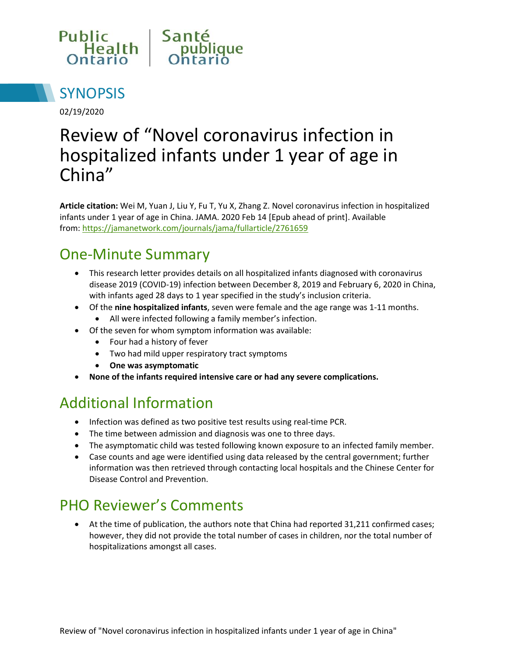



02/19/2020

# Review of "Novel coronavirus infection in hospitalized infants under 1 year of age in China"

**Article citation:** Wei M, Yuan J, Liu Y, Fu T, Yu X, Zhang Z. Novel coronavirus infection in hospitalized infants under 1 year of age in China. JAMA. 2020 Feb 14 [Epub ahead of print]. Available from:<https://jamanetwork.com/journals/jama/fullarticle/2761659>

### One-Minute Summary

- This research letter provides details on all hospitalized infants diagnosed with coronavirus disease 2019 (COVID-19) infection between December 8, 2019 and February 6, 2020 in China, with infants aged 28 days to 1 year specified in the study's inclusion criteria.
- Of the **nine hospitalized infants**, seven were female and the age range was 1-11 months.
	- All were infected following a family member's infection.
- Of the seven for whom symptom information was available:
	- Four had a history of fever
	- Two had mild upper respiratory tract symptoms
	- **One was asymptomatic**
- **None of the infants required intensive care or had any severe complications.**

#### Additional Information

- Infection was defined as two positive test results using real-time PCR.
- The time between admission and diagnosis was one to three days.
- The asymptomatic child was tested following known exposure to an infected family member.
- Case counts and age were identified using data released by the central government; further information was then retrieved through contacting local hospitals and the Chinese Center for Disease Control and Prevention.

## PHO Reviewer's Comments

 At the time of publication, the authors note that China had reported 31,211 confirmed cases; however, they did not provide the total number of cases in children, nor the total number of hospitalizations amongst all cases.